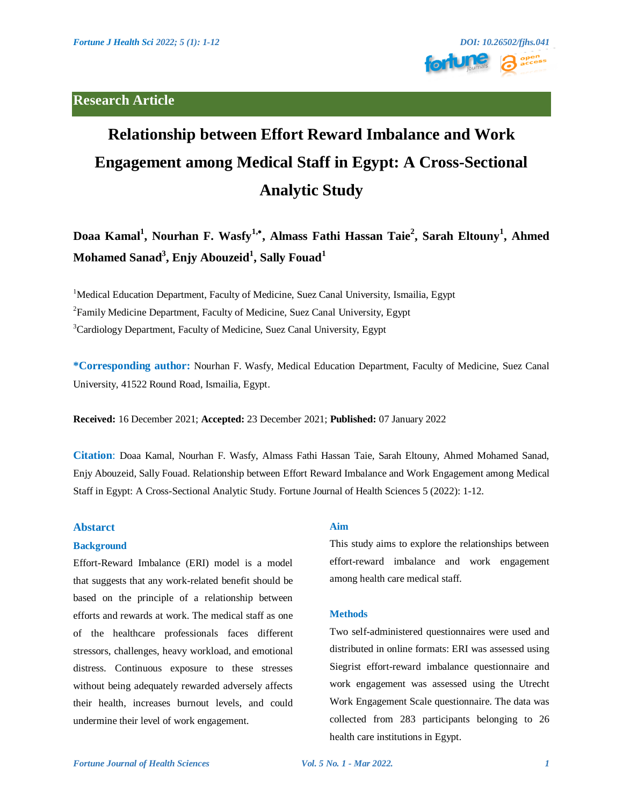# **Research Article**



# **Relationship between Effort Reward Imbalance and Work Engagement among Medical Staff in Egypt: A Cross-Sectional Analytic Study**

**Doaa Kamal<sup>1</sup> , Nourhan F. Wasfy1, , Almass Fathi Hassan Taie<sup>2</sup> , Sarah Eltouny<sup>1</sup> , Ahmed Mohamed Sanad<sup>3</sup> , Enjy Abouzeid<sup>1</sup> , Sally Fouad<sup>1</sup>**

<sup>1</sup>Medical Education Department, Faculty of Medicine, Suez Canal University, Ismailia, Egypt

<sup>2</sup> Family Medicine Department, Faculty of Medicine, Suez Canal University, Egypt

<sup>3</sup>Cardiology Department, Faculty of Medicine, Suez Canal University, Egypt

**\*Corresponding author:** Nourhan F. Wasfy, Medical Education Department, Faculty of Medicine, Suez Canal University, 41522 Round Road, Ismailia, Egypt.

**Received:** 16 December 2021; **Accepted:** 23 December 2021; **Published:** 07 January 2022

**Citation**: Doaa Kamal, Nourhan F. Wasfy, Almass Fathi Hassan Taie, Sarah Eltouny, Ahmed Mohamed Sanad, Enjy Abouzeid, Sally Fouad. Relationship between Effort Reward Imbalance and Work Engagement among Medical Staff in Egypt: A Cross-Sectional Analytic Study. Fortune Journal of Health Sciences 5 (2022): 1-12.

# **Abstarct**

#### **Background**

Effort-Reward Imbalance (ERI) model is a model that suggests that any work-related benefit should be based on the principle of a relationship between efforts and rewards at work. The medical staff as one of the healthcare professionals faces different stressors, challenges, heavy workload, and emotional distress. Continuous exposure to these stresses without being adequately rewarded adversely affects their health, increases burnout levels, and could undermine their level of work engagement.

# **Aim**

This study aims to explore the relationships between effort-reward imbalance and work engagement among health care medical staff.

#### **Methods**

Two self-administered questionnaires were used and distributed in online formats: ERI was assessed using Siegrist effort-reward imbalance questionnaire and work engagement was assessed using the Utrecht Work Engagement Scale questionnaire. The data was collected from 283 participants belonging to 26 health care institutions in Egypt.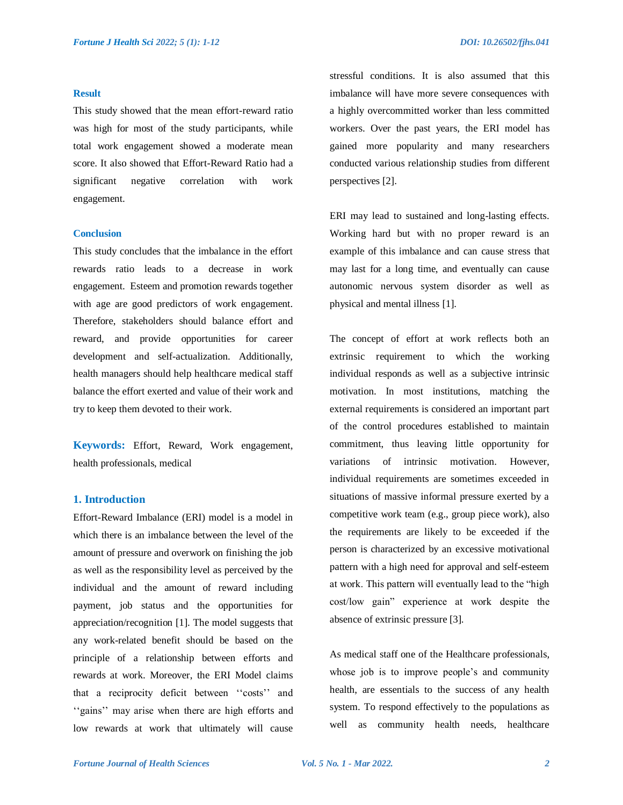#### **Result**

This study showed that the mean effort-reward ratio was high for most of the study participants, while total work engagement showed a moderate mean score. It also showed that Effort-Reward Ratio had a significant negative correlation with work engagement.

# **Conclusion**

This study concludes that the imbalance in the effort rewards ratio leads to a decrease in work engagement. Esteem and promotion rewards together with age are good predictors of work engagement. Therefore, stakeholders should balance effort and reward, and provide opportunities for career development and self-actualization. Additionally, health managers should help healthcare medical staff balance the effort exerted and value of their work and try to keep them devoted to their work.

**Keywords:** Effort, Reward, Work engagement, health professionals, medical

# **1. Introduction**

Effort-Reward Imbalance (ERI) model is a model in which there is an imbalance between the level of the amount of pressure and overwork on finishing the job as well as the responsibility level as perceived by the individual and the amount of reward including payment, job status and the opportunities for appreciation/recognition [1]. The model suggests that any work-related benefit should be based on the principle of a relationship between efforts and rewards at work. Moreover, the ERI Model claims that a reciprocity deficit between "costs" and "gains" may arise when there are high efforts and low rewards at work that ultimately will cause

stressful conditions. It is also assumed that this imbalance will have more severe consequences with a highly overcommitted worker than less committed workers. Over the past years, the ERI model has gained more popularity and many researchers conducted various relationship studies from different perspectives [2].

ERI may lead to sustained and long-lasting effects. Working hard but with no proper reward is an example of this imbalance and can cause stress that may last for a long time, and eventually can cause autonomic nervous system disorder as well as physical and mental illness [1].

The concept of effort at work reflects both an extrinsic requirement to which the working individual responds as well as a subjective intrinsic motivation. In most institutions, matching the external requirements is considered an important part of the control procedures established to maintain commitment, thus leaving little opportunity for variations of intrinsic motivation. However, individual requirements are sometimes exceeded in situations of massive informal pressure exerted by a competitive work team (e.g., group piece work), also the requirements are likely to be exceeded if the person is characterized by an excessive motivational pattern with a high need for approval and self-esteem at work. This pattern will eventually lead to the "high cost/low gain" experience at work despite the absence of extrinsic pressure [3].

As medical staff one of the Healthcare professionals, whose job is to improve people's and community health, are essentials to the success of any health system. To respond effectively to the populations as well as community health needs, healthcare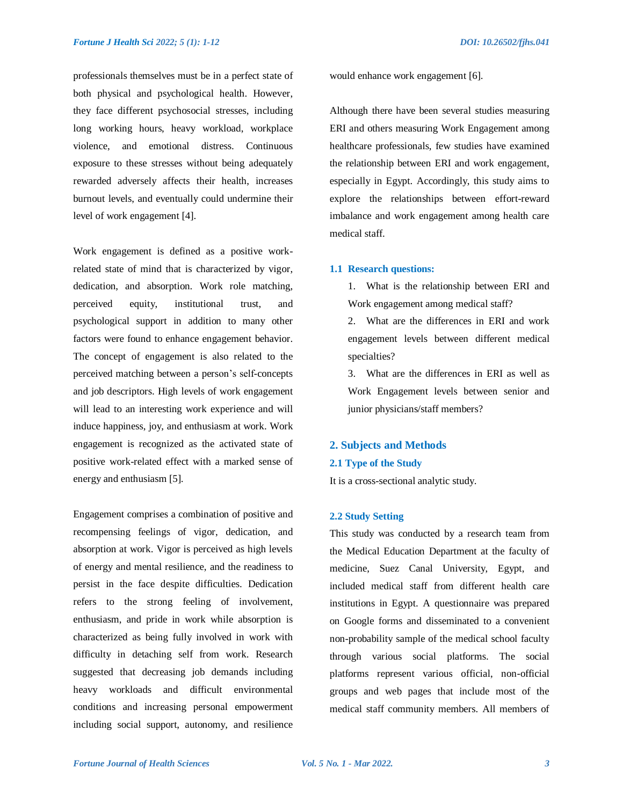professionals themselves must be in a perfect state of both physical and psychological health. However, they face different psychosocial stresses, including long working hours, heavy workload, workplace violence, and emotional distress. Continuous exposure to these stresses without being adequately rewarded adversely affects their health, increases burnout levels, and eventually could undermine their level of work engagement [4].

Work engagement is defined as a positive workrelated state of mind that is characterized by vigor, dedication, and absorption. Work role matching, perceived equity, institutional trust, and psychological support in addition to many other factors were found to enhance engagement behavior. The concept of engagement is also related to the perceived matching between a person"s self-concepts and job descriptors. High levels of work engagement will lead to an interesting work experience and will induce happiness, joy, and enthusiasm at work. Work engagement is recognized as the activated state of positive work-related effect with a marked sense of energy and enthusiasm [5].

Engagement comprises a combination of positive and recompensing feelings of vigor, dedication, and absorption at work. Vigor is perceived as high levels of energy and mental resilience, and the readiness to persist in the face despite difficulties. Dedication refers to the strong feeling of involvement, enthusiasm, and pride in work while absorption is characterized as being fully involved in work with difficulty in detaching self from work. Research suggested that decreasing job demands including heavy workloads and difficult environmental conditions and increasing personal empowerment including social support, autonomy, and resilience

would enhance work engagement [6].

Although there have been several studies measuring ERI and others measuring Work Engagement among healthcare professionals, few studies have examined the relationship between ERI and work engagement, especially in Egypt. Accordingly, this study aims to explore the relationships between effort-reward imbalance and work engagement among health care medical staff.

#### **1.1 Research questions:**

1. What is the relationship between ERI and Work engagement among medical staff?

2. What are the differences in ERI and work engagement levels between different medical specialties?

3. What are the differences in ERI as well as Work Engagement levels between senior and junior physicians/staff members?

#### **2. Subjects and Methods**

#### **2.1 Type of the Study**

It is a cross-sectional analytic study.

#### **2.2 Study Setting**

This study was conducted by a research team from the Medical Education Department at the faculty of medicine, Suez Canal University, Egypt, and included medical staff from different health care institutions in Egypt. A questionnaire was prepared on Google forms and disseminated to a convenient non-probability sample of the medical school faculty through various social platforms. The social platforms represent various official, non-official groups and web pages that include most of the medical staff community members. All members of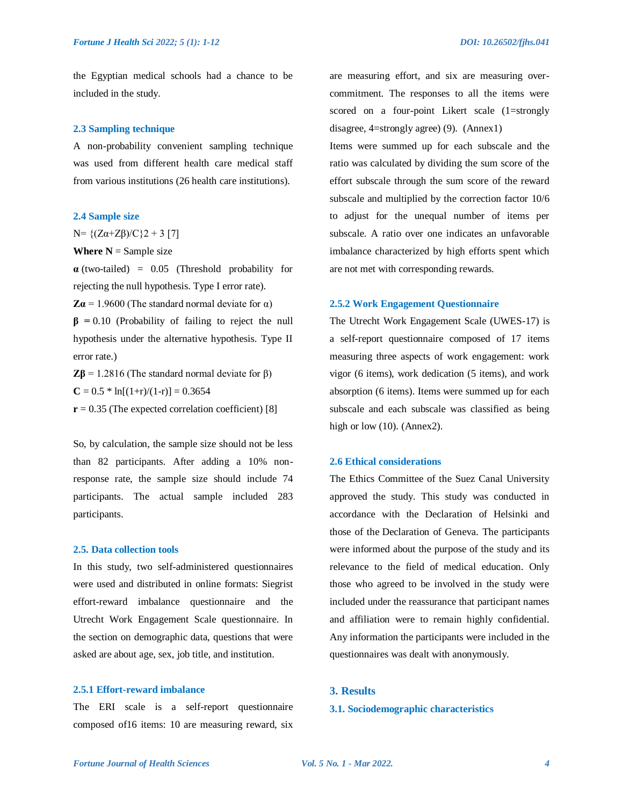the Egyptian medical schools had a chance to be included in the study.

#### **2.3 Sampling technique**

A non-probability convenient sampling technique was used from different health care medical staff from various institutions (26 health care institutions).

#### **2.4 Sample size**

N=  ${(Zα+Zβ)/C}$  2 + 3 [7]

**Where**  $N =$  **Sample size** 

**α** (two-tailed) = 0.05 (Threshold probability for rejecting the null hypothesis. Type I error rate).

 $Z\alpha$  = 1.9600 (The standard normal deviate for  $\alpha$ )

**β =** 0.10 (Probability of failing to reject the null hypothesis under the alternative hypothesis. Type II error rate.)

**Zβ** = 1.2816 (The standard normal deviate for β)  $C = 0.5 * ln[(1+r)/(1-r)] = 0.3654$ 

 $r = 0.35$  (The expected correlation coefficient) [8]

So, by calculation, the sample size should not be less than 82 participants. After adding a 10% nonresponse rate, the sample size should include 74 participants. The actual sample included 283 participants.

## **2.5. Data collection tools**

In this study, two self-administered questionnaires were used and distributed in online formats: Siegrist effort-reward imbalance questionnaire and the Utrecht Work Engagement Scale questionnaire. In the section on demographic data, questions that were asked are about age, sex, job title, and institution.

#### **2.5.1 Effort-reward imbalance**

The ERI scale is a self-report questionnaire composed of16 items: 10 are measuring reward, six are measuring effort, and six are measuring overcommitment. The responses to all the items were scored on a four-point Likert scale (1=strongly disagree, 4=strongly agree) (9). (Annex1)

Items were summed up for each subscale and the ratio was calculated by dividing the sum score of the effort subscale through the sum score of the reward subscale and multiplied by the correction factor 10/6 to adjust for the unequal number of items per subscale. A ratio over one indicates an unfavorable imbalance characterized by high efforts spent which are not met with corresponding rewards.

#### **2.5.2 Work Engagement Questionnaire**

The Utrecht Work Engagement Scale (UWES-17) is a self-report questionnaire composed of 17 items measuring three aspects of work engagement: work vigor (6 items), work dedication (5 items), and work absorption (6 items). Items were summed up for each subscale and each subscale was classified as being high or low  $(10)$ . (Annex2).

## **2.6 Ethical considerations**

The Ethics Committee of the Suez Canal University approved the study. This study was conducted in accordance with the Declaration of Helsinki and those of the Declaration of Geneva. The participants were informed about the purpose of the study and its relevance to the field of medical education. Only those who agreed to be involved in the study were included under the reassurance that participant names and affiliation were to remain highly confidential. Any information the participants were included in the questionnaires was dealt with anonymously.

# **3. Results**

# **3.1. Sociodemographic characteristics**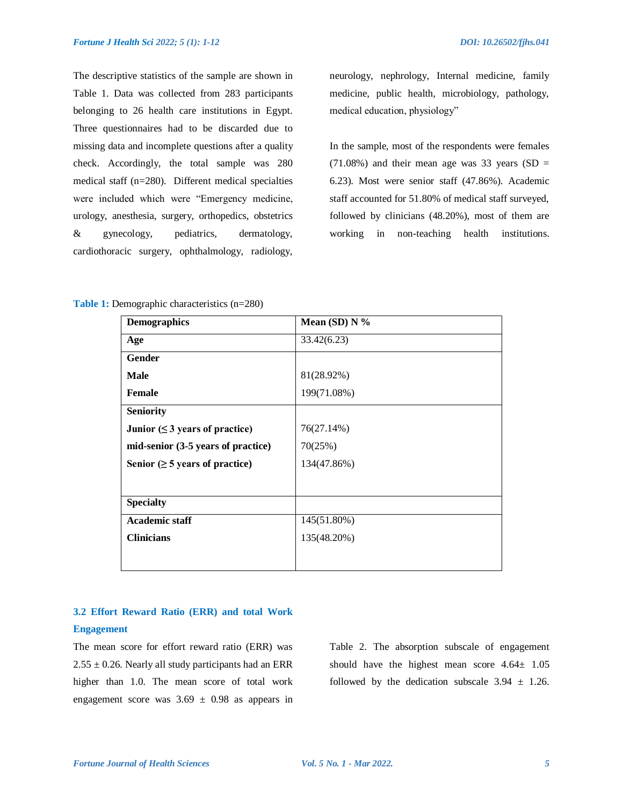The descriptive statistics of the sample are shown in Table 1. Data was collected from 283 participants belonging to 26 health care institutions in Egypt. Three questionnaires had to be discarded due to missing data and incomplete questions after a quality check. Accordingly, the total sample was 280 medical staff (n=280). Different medical specialties were included which were "Emergency medicine, urology, anesthesia, surgery, orthopedics, obstetrics & gynecology, pediatrics, dermatology, cardiothoracic surgery, ophthalmology, radiology,

neurology, nephrology, Internal medicine, family medicine, public health, microbiology, pathology, medical education, physiology"

In the sample, most of the respondents were females  $(71.08\%)$  and their mean age was 33 years (SD = 6.23). Most were senior staff (47.86%). Academic staff accounted for 51.80% of medical staff surveyed, followed by clinicians (48.20%), most of them are working in non-teaching health institutions.

**Table 1:** Demographic characteristics (n=280)

| <b>Demographics</b>                  | Mean (SD) $N\%$ |
|--------------------------------------|-----------------|
| Age                                  | 33.42(6.23)     |
| Gender                               |                 |
| <b>Male</b>                          | 81(28.92%)      |
| Female                               | 199(71.08%)     |
| <b>Seniority</b>                     |                 |
| Junior $( \leq 3$ years of practice) | 76(27.14%)      |
| mid-senior (3-5 years of practice)   | 70(25%)         |
| Senior ( $\geq$ 5 years of practice) | 134(47.86%)     |
|                                      |                 |
| <b>Specialty</b>                     |                 |
| <b>Academic staff</b>                | 145(51.80%)     |
| <b>Clinicians</b>                    | 135(48.20%)     |
|                                      |                 |
|                                      |                 |

# **3.2 Effort Reward Ratio (ERR) and total Work**

# **Engagement**

The mean score for effort reward ratio (ERR) was  $2.55 \pm 0.26$ . Nearly all study participants had an ERR higher than 1.0. The mean score of total work engagement score was  $3.69 \pm 0.98$  as appears in Table 2. The absorption subscale of engagement should have the highest mean score 4.64± 1.05 followed by the dedication subscale  $3.94 \pm 1.26$ .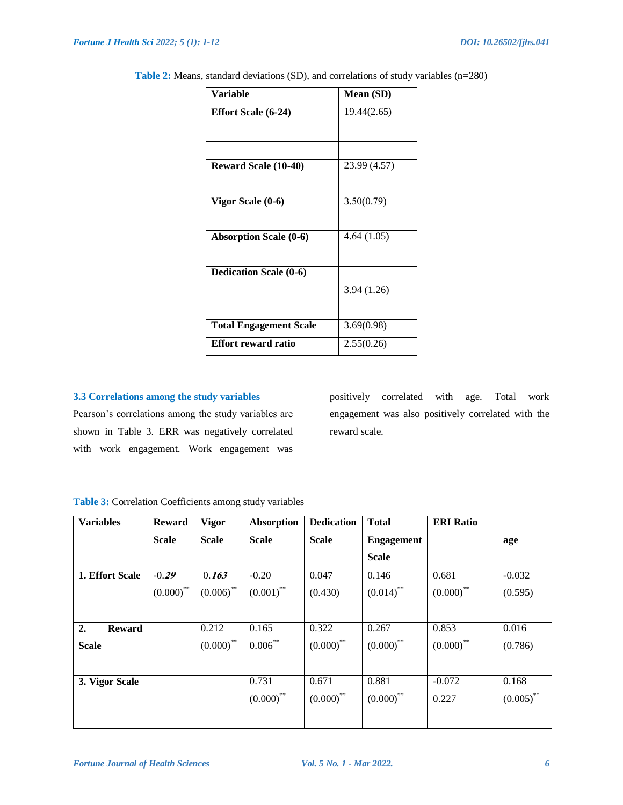| Variable                      | <b>Mean</b> (SD) |
|-------------------------------|------------------|
| <b>Effort Scale (6-24)</b>    | 19.44(2.65)      |
| <b>Reward Scale (10-40)</b>   | 23.99 (4.57)     |
| Vigor Scale (0-6)             | 3.50(0.79)       |
| <b>Absorption Scale (0-6)</b> | 4.64 (1.05)      |
| <b>Dedication Scale (0-6)</b> | 3.94(1.26)       |
| <b>Total Engagement Scale</b> | 3.69(0.98)       |
| <b>Effort reward ratio</b>    | 2.55(0.26)       |

**Table 2:** Means, standard deviations (SD), and correlations of study variables (n=280)

# **3.3 Correlations among the study variables**

Pearson"s correlations among the study variables are shown in Table 3. ERR was negatively correlated with work engagement. Work engagement was

positively correlated with age. Total work engagement was also positively correlated with the reward scale.

**Table 3:** Correlation Coefficients among study variables

| <b>Variables</b>    | <b>Reward</b> | <b>Vigor</b> | <b>Absorption</b>       | <b>Dedication</b> | <b>Total</b>      | <b>ERI Ratio</b> |              |
|---------------------|---------------|--------------|-------------------------|-------------------|-------------------|------------------|--------------|
|                     | <b>Scale</b>  | <b>Scale</b> | <b>Scale</b>            | <b>Scale</b>      | <b>Engagement</b> |                  | age          |
|                     |               |              |                         |                   | <b>Scale</b>      |                  |              |
| 1. Effort Scale     | $-0.29$       | 0.163        | $-0.20$                 | 0.047             | 0.146             | 0.681            | $-0.032$     |
|                     | $(0.000)$ **  | $(0.006)$ ** | $(0.001)$ <sup>**</sup> | (0.430)           | $(0.014)$ **      | $(0.000)$ **     | (0.595)      |
|                     |               |              |                         |                   |                   |                  |              |
| 2.<br><b>Reward</b> |               | 0.212        | 0.165                   | 0.322             | 0.267             | 0.853            | 0.016        |
| <b>Scale</b>        |               | $(0.000)$ ** | $0.006***$              | $(0.000)$ **      | $(0.000)$ **      | $(0.000)$ **     | (0.786)      |
|                     |               |              |                         |                   |                   |                  |              |
| 3. Vigor Scale      |               |              | 0.731                   | 0.671             | 0.881             | $-0.072$         | 0.168        |
|                     |               |              | $(0.000)$ **            | $(0.000)$ **      | $(0.000)$ **      | 0.227            | $(0.005)$ ** |
|                     |               |              |                         |                   |                   |                  |              |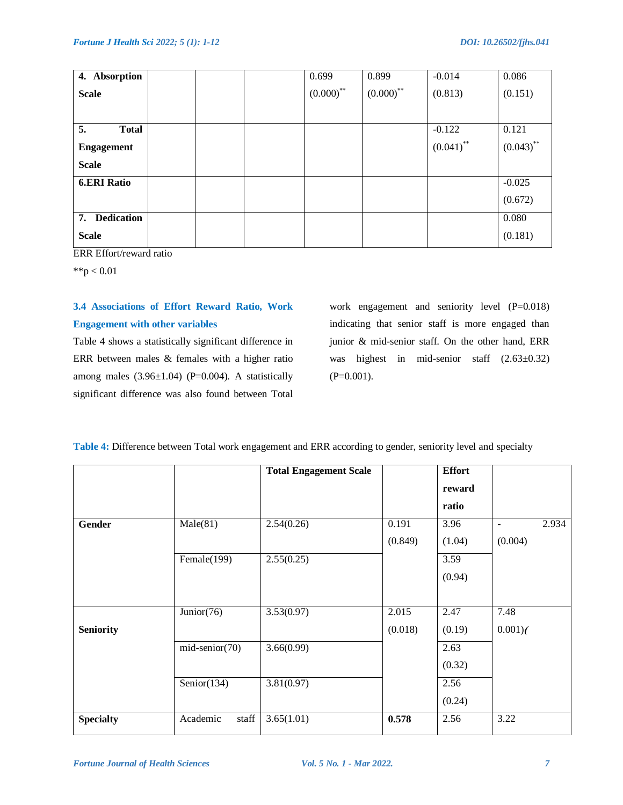| 4. Absorption           |  | 0.699        | 0.899        | $-0.014$     | 0.086        |
|-------------------------|--|--------------|--------------|--------------|--------------|
| <b>Scale</b>            |  | $(0.000)$ ** | $(0.000)$ ** | (0.813)      | (0.151)      |
|                         |  |              |              |              |              |
| 5.<br><b>Total</b>      |  |              |              | $-0.122$     | 0.121        |
| <b>Engagement</b>       |  |              |              | $(0.041)$ ** | $(0.043)$ ** |
| <b>Scale</b>            |  |              |              |              |              |
| <b>6.ERI Ratio</b>      |  |              |              |              | $-0.025$     |
|                         |  |              |              |              | (0.672)      |
| <b>Dedication</b><br>7. |  |              |              |              | 0.080        |
| <b>Scale</b>            |  |              |              |              | (0.181)      |

ERR Effort/reward ratio

 $*$  $p < 0.01$ 

# **3.4 Associations of Effort Reward Ratio, Work Engagement with other variables**

Table 4 shows a statistically significant difference in ERR between males & females with a higher ratio among males  $(3.96\pm1.04)$  (P=0.004). A statistically significant difference was also found between Total

work engagement and seniority level (P=0.018) indicating that senior staff is more engaged than junior & mid-senior staff. On the other hand, ERR was highest in mid-senior staff  $(2.63\pm0.32)$  $(P=0.001)$ .

|                  |                                    | <b>Total Engagement Scale</b> |         | <b>Effort</b> |                |       |
|------------------|------------------------------------|-------------------------------|---------|---------------|----------------|-------|
|                  |                                    |                               |         | reward        |                |       |
|                  |                                    |                               |         | ratio         |                |       |
| <b>Gender</b>    | Male(81)                           | 2.54(0.26)                    | 0.191   | 3.96          | $\blacksquare$ | 2.934 |
|                  |                                    |                               | (0.849) | (1.04)        | (0.004)        |       |
|                  | Female(199)                        | 2.55(0.25)                    |         | 3.59          |                |       |
|                  |                                    |                               |         | (0.94)        |                |       |
|                  |                                    |                               |         |               |                |       |
|                  | Junior(76)                         | 3.53(0.97)                    | 2.015   | 2.47          | 7.48           |       |
| <b>Seniority</b> |                                    |                               | (0.018) | (0.19)        | $0.001$ )(     |       |
|                  | $mid\text{-}senior(70)$            | 3.66(0.99)                    |         | 2.63          |                |       |
|                  |                                    |                               |         | (0.32)        |                |       |
|                  | Senior $(134)$                     | 3.81(0.97)                    |         | 2.56          |                |       |
|                  |                                    |                               |         | (0.24)        |                |       |
| <b>Specialty</b> | $\operatorname{staff}$<br>Academic | 3.65(1.01)                    | 0.578   | 2.56          | 3.22           |       |

**Table 4:** Difference between Total work engagement and ERR according to gender, seniority level and specialty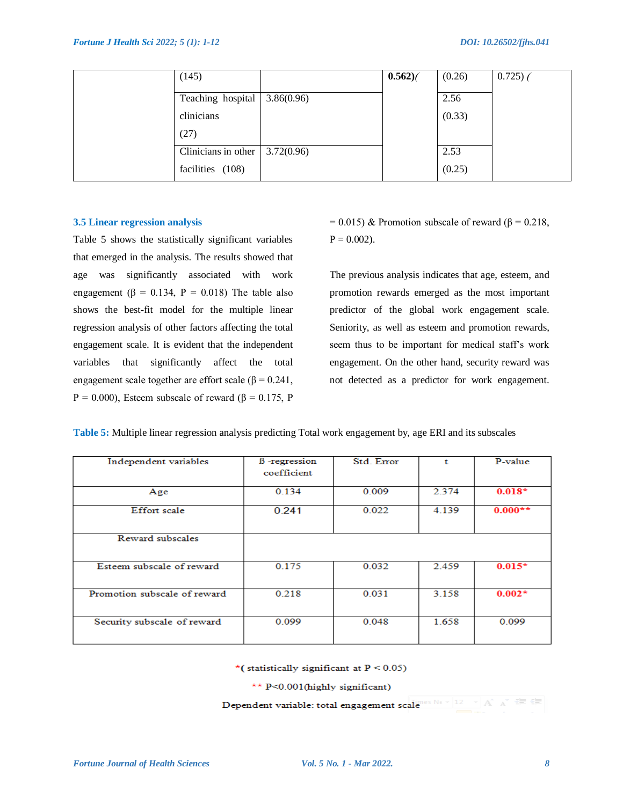| (145)               |            | $0.562$ ) | (0.26) | 0.725) |
|---------------------|------------|-----------|--------|--------|
| Teaching hospital   | 3.86(0.96) |           | 2.56   |        |
| clinicians          |            |           | (0.33) |        |
| (27)                |            |           |        |        |
| Clinicians in other | 3.72(0.96) |           | 2.53   |        |
| facilities (108)    |            |           | (0.25) |        |

#### **3.5 Linear regression analysis**

Table 5 shows the statistically significant variables that emerged in the analysis. The results showed that age was significantly associated with work engagement ( $\beta = 0.134$ ,  $P = 0.018$ ) The table also shows the best-fit model for the multiple linear regression analysis of other factors affecting the total engagement scale. It is evident that the independent variables that significantly affect the total engagement scale together are effort scale (β =  $0.241$ , P = 0.000), Esteem subscale of reward (β = 0.175, P

 $= 0.015$ ) & Promotion subscale of reward (β = 0.218,  $P = 0.002$ ).

The previous analysis indicates that age, esteem, and promotion rewards emerged as the most important predictor of the global work engagement scale. Seniority, as well as esteem and promotion rewards, seem thus to be important for medical staff"s work engagement. On the other hand, security reward was not detected as a predictor for work engagement.

**Table 5:** Multiple linear regression analysis predicting Total work engagement by, age ERI and its subscales

| Independent variables        | <b>B</b> -regression<br>coefficient | Std. Error | t     | P-value   |
|------------------------------|-------------------------------------|------------|-------|-----------|
| Age                          | 0.134                               | 0.009      | 2.374 | $0.018*$  |
| <b>Effort</b> scale          | 0.241                               | 0.022      | 4.139 | $0.000**$ |
| Reward subscales             |                                     |            |       |           |
| Esteem subscale of reward    | 0.175                               | 0.032      | 2.459 | $0.015*$  |
| Promotion subscale of reward | 0.218                               | 0.031      | 3.158 | $0.002*$  |
| Security subscale of reward  | 0.099                               | 0.048      | 1.658 | 0.099     |

\*(statistically significant at  $P < 0.05$ )

\*\* P<0.001(highly significant)

Dependent variable: total engagement scale set of the set of  $A^*$   $A^*$   $A^*$   $B^*$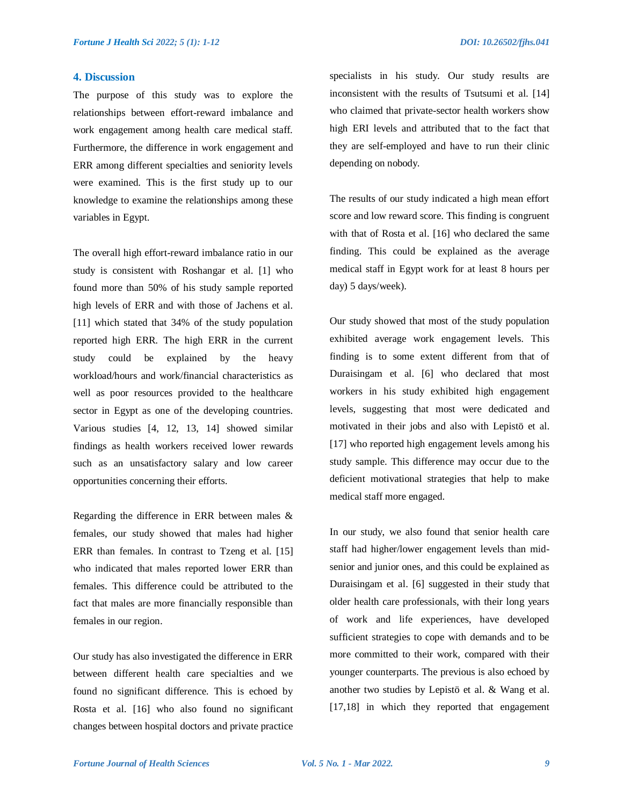# **4. Discussion**

The purpose of this study was to explore the relationships between effort-reward imbalance and work engagement among health care medical staff. Furthermore, the difference in work engagement and ERR among different specialties and seniority levels were examined. This is the first study up to our knowledge to examine the relationships among these variables in Egypt.

The overall high effort-reward imbalance ratio in our study is consistent with Roshangar et al. [1] who found more than 50% of his study sample reported high levels of ERR and with those of Jachens et al. [11] which stated that 34% of the study population reported high ERR. The high ERR in the current study could be explained by the heavy workload/hours and work/financial characteristics as well as poor resources provided to the healthcare sector in Egypt as one of the developing countries. Various studies [4, 12, 13, 14] showed similar findings as health workers received lower rewards such as an unsatisfactory salary and low career opportunities concerning their efforts.

Regarding the difference in ERR between males & females, our study showed that males had higher ERR than females. In contrast to Tzeng et al. [15] who indicated that males reported lower ERR than females. This difference could be attributed to the fact that males are more financially responsible than females in our region.

Our study has also investigated the difference in ERR between different health care specialties and we found no significant difference. This is echoed by Rosta et al. [16] who also found no significant changes between hospital doctors and private practice specialists in his study. Our study results are inconsistent with the results of Tsutsumi et al. [14] who claimed that private-sector health workers show high ERI levels and attributed that to the fact that they are self-employed and have to run their clinic depending on nobody.

The results of our study indicated a high mean effort score and low reward score. This finding is congruent with that of Rosta et al. [16] who declared the same finding. This could be explained as the average medical staff in Egypt work for at least 8 hours per day) 5 days/week).

Our study showed that most of the study population exhibited average work engagement levels. This finding is to some extent different from that of Duraisingam et al. [6] who declared that most workers in his study exhibited high engagement levels, suggesting that most were dedicated and motivated in their jobs and also with Lepistö et al. [17] who reported high engagement levels among his study sample. This difference may occur due to the deficient motivational strategies that help to make medical staff more engaged.

In our study, we also found that senior health care staff had higher/lower engagement levels than midsenior and junior ones, and this could be explained as Duraisingam et al. [6] suggested in their study that older health care professionals, with their long years of work and life experiences, have developed sufficient strategies to cope with demands and to be more committed to their work, compared with their younger counterparts. The previous is also echoed by another two studies by Lepistö et al. & Wang et al. [17,18] in which they reported that engagement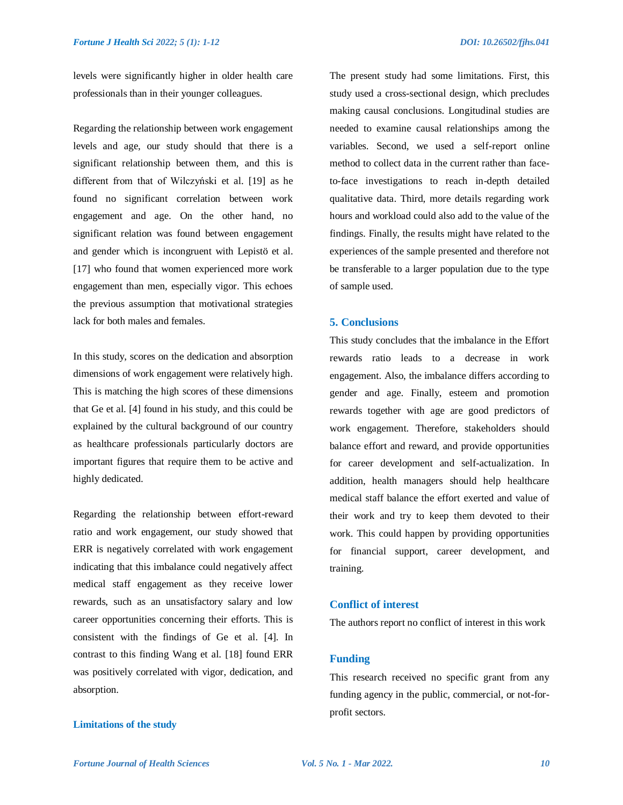levels were significantly higher in older health care professionals than in their younger colleagues.

Regarding the relationship between work engagement levels and age, our study should that there is a significant relationship between them, and this is different from that of Wilczyński et al. [19] as he found no significant correlation between work engagement and age. On the other hand, no significant relation was found between engagement and gender which is incongruent with Lepistö et al. [17] who found that women experienced more work engagement than men, especially vigor. This echoes the previous assumption that motivational strategies lack for both males and females.

In this study, scores on the dedication and absorption dimensions of work engagement were relatively high. This is matching the high scores of these dimensions that Ge et al. [4] found in his study, and this could be explained by the cultural background of our country as healthcare professionals particularly doctors are important figures that require them to be active and highly dedicated.

Regarding the relationship between effort-reward ratio and work engagement, our study showed that ERR is negatively correlated with work engagement indicating that this imbalance could negatively affect medical staff engagement as they receive lower rewards, such as an unsatisfactory salary and low career opportunities concerning their efforts. This is consistent with the findings of Ge et al. [4]. In contrast to this finding Wang et al. [18] found ERR was positively correlated with vigor, dedication, and absorption.

# **Limitations of the study**

The present study had some limitations. First, this study used a cross-sectional design, which precludes making causal conclusions. Longitudinal studies are needed to examine causal relationships among the variables. Second, we used a self-report online method to collect data in the current rather than faceto-face investigations to reach in-depth detailed qualitative data. Third, more details regarding work hours and workload could also add to the value of the findings. Finally, the results might have related to the experiences of the sample presented and therefore not be transferable to a larger population due to the type of sample used.

# **5. Conclusions**

This study concludes that the imbalance in the Effort rewards ratio leads to a decrease in work engagement. Also, the imbalance differs according to gender and age. Finally, esteem and promotion rewards together with age are good predictors of work engagement. Therefore, stakeholders should balance effort and reward, and provide opportunities for career development and self-actualization. In addition, health managers should help healthcare medical staff balance the effort exerted and value of their work and try to keep them devoted to their work. This could happen by providing opportunities for financial support, career development, and training.

# **Conflict of interest**

The authors report no conflict of interest in this work

# **Funding**

This research received no specific grant from any funding agency in the public, commercial, or not-forprofit sectors.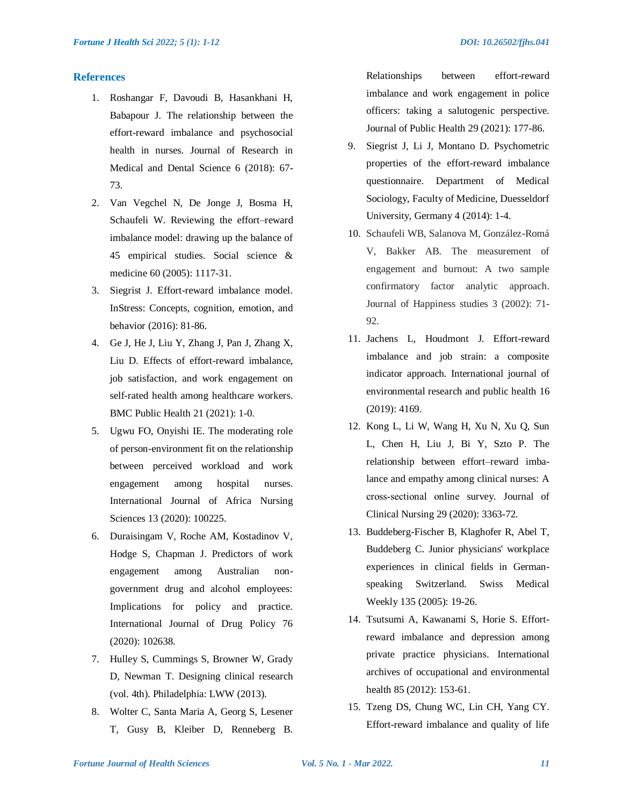# **References**

- 1. Roshangar F, Davoudi B, Hasankhani H, Babapour J. The relationship between the effort-reward imbalance and psychosocial health in nurses. Journal of Research in Medical and Dental Science 6 (2018): 67- 73.
- 2. Van Vegchel N, De Jonge J, Bosma H, Schaufeli W. Reviewing the effort–reward imbalance model: drawing up the balance of 45 empirical studies. Social science & medicine 60 (2005): 1117-31.
- 3. Siegrist J. Effort-reward imbalance model. InStress: Concepts, cognition, emotion, and behavior (2016): 81-86.
- 4. Ge J, He J, Liu Y, Zhang J, Pan J, Zhang X, Liu D. Effects of effort-reward imbalance, job satisfaction, and work engagement on self-rated health among healthcare workers. BMC Public Health 21 (2021): 1-0.
- 5. Ugwu FO, Onyishi IE. The moderating role of person-environment fit on the relationship between perceived workload and work engagement among hospital nurses. International Journal of Africa Nursing Sciences 13 (2020): 100225.
- 6. Duraisingam V, Roche AM, Kostadinov V, Hodge S, Chapman J. Predictors of work engagement among Australian nongovernment drug and alcohol employees: Implications for policy and practice. International Journal of Drug Policy 76 (2020): 102638.
- 7. Hulley S, Cummings S, Browner W, Grady D, Newman T. Designing clinical research (vol. 4th). Philadelphia: LWW (2013).
- 8. Wolter C, Santa Maria A, Georg S, Lesener T, Gusy B, Kleiber D, Renneberg B.

Relationships between effort-reward imbalance and work engagement in police officers: taking a salutogenic perspective. Journal of Public Health 29 (2021): 177-86.

- 9. Siegrist J, Li J, Montano D. Psychometric properties of the effort-reward imbalance questionnaire. Department of Medical Sociology, Faculty of Medicine, Duesseldorf University, Germany 4 (2014): 1-4.
- 10. Schaufeli WB, Salanova M, González-Romá V, Bakker AB. The measurement of engagement and burnout: A two sample confirmatory factor analytic approach. Journal of Happiness studies 3 (2002): 71- 92.
- 11. Jachens L, Houdmont J. Effort-reward imbalance and job strain: a composite indicator approach. International journal of environmental research and public health 16 (2019): 4169.
- 12. Kong L, Li W, Wang H, Xu N, Xu Q, Sun L, Chen H, Liu J, Bi Y, Szto P. The relationship between effort–reward imbalance and empathy among clinical nurses: A cross‐sectional online survey. Journal of Clinical Nursing 29 (2020): 3363-72.
- 13. Buddeberg-Fischer B, Klaghofer R, Abel T, Buddeberg C. Junior physicians' workplace experiences in clinical fields in Germanspeaking Switzerland. Swiss Medical Weekly 135 (2005): 19-26.
- 14. Tsutsumi A, Kawanami S, Horie S. Effortreward imbalance and depression among private practice physicians. International archives of occupational and environmental health 85 (2012): 153-61.
- 15. Tzeng DS, Chung WC, Lin CH, Yang CY. Effort-reward imbalance and quality of life